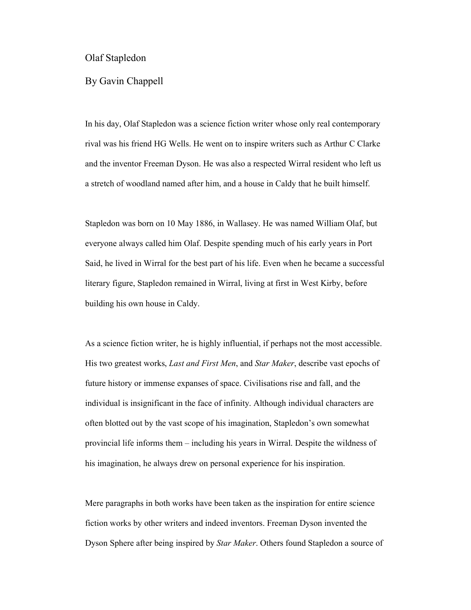Olaf Stapledon

By Gavin Chappell

In his day, Olaf Stapledon was a science fiction writer whose only real contemporary rival was his friend HG Wells. He went on to inspire writers such as Arthur C Clarke and the inventor Freeman Dyson. He was also a respected Wirral resident who left us a stretch of woodland named after him, and a house in Caldy that he built himself.

Stapledon was born on 10 May 1886, in Wallasey. He was named William Olaf, but everyone always called him Olaf. Despite spending much of his early years in Port Said, he lived in Wirral for the best part of his life. Even when he became a successful literary figure, Stapledon remained in Wirral, living at first in West Kirby, before building his own house in Caldy.

As a science fiction writer, he is highly influential, if perhaps not the most accessible. His two greatest works, *Last and First Men*, and *Star Maker*, describe vast epochs of future history or immense expanses of space. Civilisations rise and fall, and the individual is insignificant in the face of infinity. Although individual characters are often blotted out by the vast scope of his imagination, Stapledon's own somewhat provincial life informs them – including his years in Wirral. Despite the wildness of his imagination, he always drew on personal experience for his inspiration.

Mere paragraphs in both works have been taken as the inspiration for entire science fiction works by other writers and indeed inventors. Freeman Dyson invented the Dyson Sphere after being inspired by *Star Maker*. Others found Stapledon a source of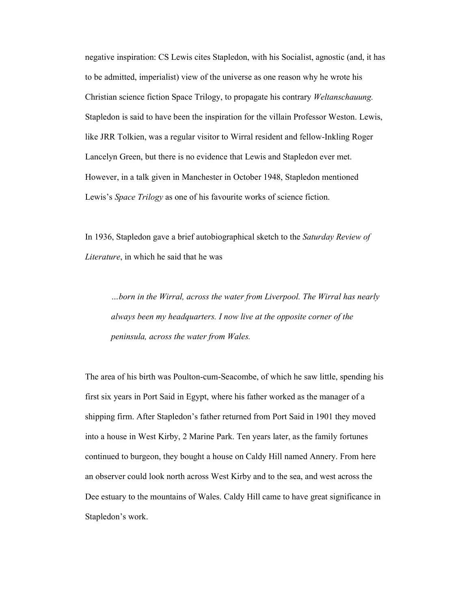negative inspiration: CS Lewis cites Stapledon, with his Socialist, agnostic (and, it has to be admitted, imperialist) view of the universe as one reason why he wrote his Christian science fiction Space Trilogy, to propagate his contrary *Weltanschauung.* Stapledon is said to have been the inspiration for the villain Professor Weston. Lewis, like JRR Tolkien, was a regular visitor to Wirral resident and fellow-Inkling Roger Lancelyn Green, but there is no evidence that Lewis and Stapledon ever met. However, in a talk given in Manchester in October 1948, Stapledon mentioned Lewis's *Space Trilogy* as one of his favourite works of science fiction.

In 1936, Stapledon gave a brief autobiographical sketch to the *Saturday Review of Literature*, in which he said that he was

*…born in the Wirral, across the water from Liverpool. The Wirral has nearly always been my headquarters. I now live at the opposite corner of the peninsula, across the water from Wales.* 

The area of his birth was Poulton-cum-Seacombe, of which he saw little, spending his first six years in Port Said in Egypt, where his father worked as the manager of a shipping firm. After Stapledon's father returned from Port Said in 1901 they moved into a house in West Kirby, 2 Marine Park. Ten years later, as the family fortunes continued to burgeon, they bought a house on Caldy Hill named Annery. From here an observer could look north across West Kirby and to the sea, and west across the Dee estuary to the mountains of Wales. Caldy Hill came to have great significance in Stapledon's work.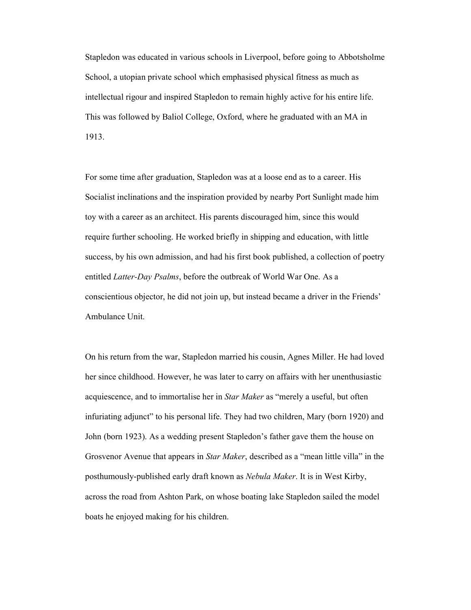Stapledon was educated in various schools in Liverpool, before going to Abbotsholme School, a utopian private school which emphasised physical fitness as much as intellectual rigour and inspired Stapledon to remain highly active for his entire life. This was followed by Baliol College, Oxford, where he graduated with an MA in 1913.

For some time after graduation, Stapledon was at a loose end as to a career. His Socialist inclinations and the inspiration provided by nearby Port Sunlight made him toy with a career as an architect. His parents discouraged him, since this would require further schooling. He worked briefly in shipping and education, with little success, by his own admission, and had his first book published, a collection of poetry entitled *Latter-Day Psalms*, before the outbreak of World War One. As a conscientious objector, he did not join up, but instead became a driver in the Friends' Ambulance Unit.

On his return from the war, Stapledon married his cousin, Agnes Miller. He had loved her since childhood. However, he was later to carry on affairs with her unenthusiastic acquiescence, and to immortalise her in *Star Maker* as "merely a useful, but often infuriating adjunct" to his personal life. They had two children, Mary (born 1920) and John (born 1923). As a wedding present Stapledon's father gave them the house on Grosvenor Avenue that appears in *Star Maker*, described as a "mean little villa" in the posthumously-published early draft known as *Nebula Maker*. It is in West Kirby, across the road from Ashton Park, on whose boating lake Stapledon sailed the model boats he enjoyed making for his children.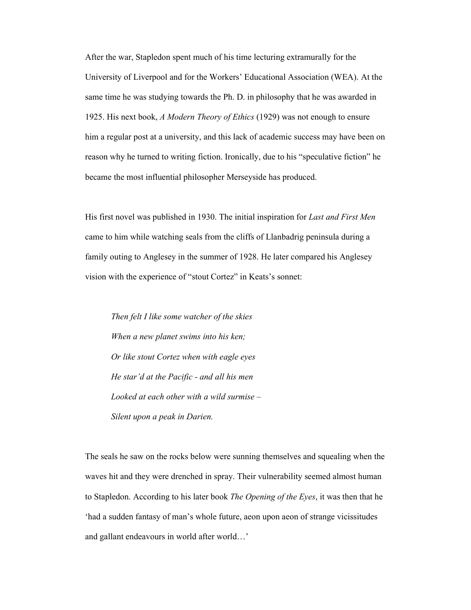After the war, Stapledon spent much of his time lecturing extramurally for the University of Liverpool and for the Workers' Educational Association (WEA). At the same time he was studying towards the Ph. D. in philosophy that he was awarded in 1925. His next book, *A Modern Theory of Ethics* (1929) was not enough to ensure him a regular post at a university, and this lack of academic success may have been on reason why he turned to writing fiction. Ironically, due to his "speculative fiction" he became the most influential philosopher Merseyside has produced.

His first novel was published in 1930. The initial inspiration for *Last and First Men* came to him while watching seals from the cliffs of Llanbadrig peninsula during a family outing to Anglesey in the summer of 1928. He later compared his Anglesey vision with the experience of "stout Cortez" in Keats's sonnet:

*Then felt I like some watcher of the skies When a new planet swims into his ken; Or like stout Cortez when with eagle eyes He star'd at the Pacific - and all his men Looked at each other with a wild surmise – Silent upon a peak in Darien.* 

The seals he saw on the rocks below were sunning themselves and squealing when the waves hit and they were drenched in spray. Their vulnerability seemed almost human to Stapledon. According to his later book *The Opening of the Eyes*, it was then that he 'had a sudden fantasy of man's whole future, aeon upon aeon of strange vicissitudes and gallant endeavours in world after world…'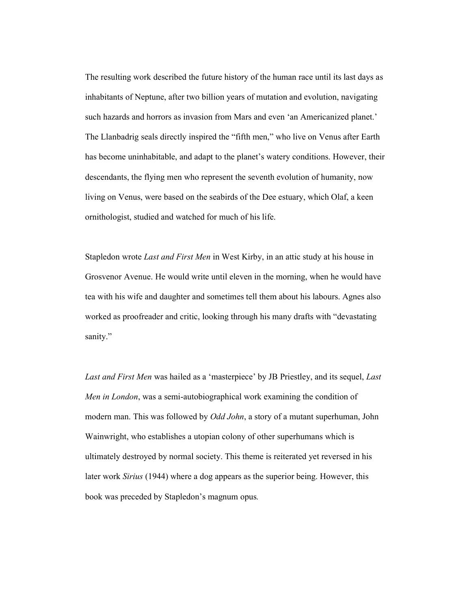The resulting work described the future history of the human race until its last days as inhabitants of Neptune, after two billion years of mutation and evolution, navigating such hazards and horrors as invasion from Mars and even 'an Americanized planet.' The Llanbadrig seals directly inspired the "fifth men," who live on Venus after Earth has become uninhabitable, and adapt to the planet's watery conditions. However, their descendants, the flying men who represent the seventh evolution of humanity, now living on Venus, were based on the seabirds of the Dee estuary, which Olaf, a keen ornithologist, studied and watched for much of his life.

Stapledon wrote *Last and First Men* in West Kirby, in an attic study at his house in Grosvenor Avenue. He would write until eleven in the morning, when he would have tea with his wife and daughter and sometimes tell them about his labours. Agnes also worked as proofreader and critic, looking through his many drafts with "devastating sanity."

*Last and First Men* was hailed as a 'masterpiece' by JB Priestley, and its sequel, *Last Men in London*, was a semi-autobiographical work examining the condition of modern man. This was followed by *Odd John*, a story of a mutant superhuman, John Wainwright, who establishes a utopian colony of other superhumans which is ultimately destroyed by normal society. This theme is reiterated yet reversed in his later work *Sirius* (1944) where a dog appears as the superior being. However, this book was preceded by Stapledon's magnum opus*.*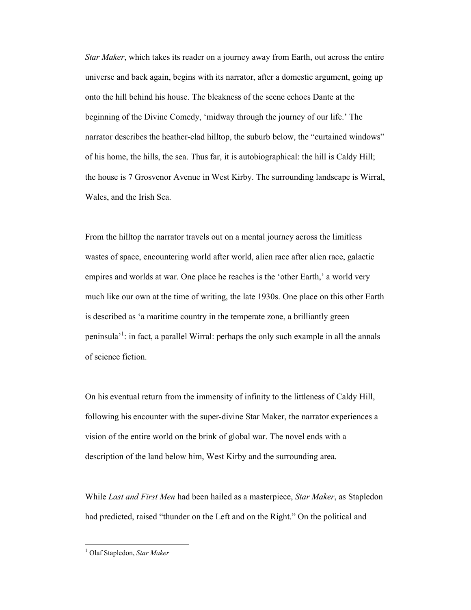*Star Maker*, which takes its reader on a journey away from Earth, out across the entire universe and back again, begins with its narrator, after a domestic argument, going up onto the hill behind his house. The bleakness of the scene echoes Dante at the beginning of the Divine Comedy, 'midway through the journey of our life.' The narrator describes the heather-clad hilltop, the suburb below, the "curtained windows" of his home, the hills, the sea. Thus far, it is autobiographical: the hill is Caldy Hill; the house is 7 Grosvenor Avenue in West Kirby. The surrounding landscape is Wirral, Wales, and the Irish Sea.

From the hilltop the narrator travels out on a mental journey across the limitless wastes of space, encountering world after world, alien race after alien race, galactic empires and worlds at war. One place he reaches is the 'other Earth,' a world very much like our own at the time of writing, the late 1930s. One place on this other Earth is described as 'a maritime country in the temperate zone, a brilliantly green peninsula<sup>'1</sup>: in fact, a parallel Wirral: perhaps the only such example in all the annals of science fiction.

On his eventual return from the immensity of infinity to the littleness of Caldy Hill, following his encounter with the super-divine Star Maker, the narrator experiences a vision of the entire world on the brink of global war. The novel ends with a description of the land below him, West Kirby and the surrounding area.

While *Last and First Men* had been hailed as a masterpiece, *Star Maker*, as Stapledon had predicted, raised "thunder on the Left and on the Right." On the political and

 1 Olaf Stapledon, *Star Maker*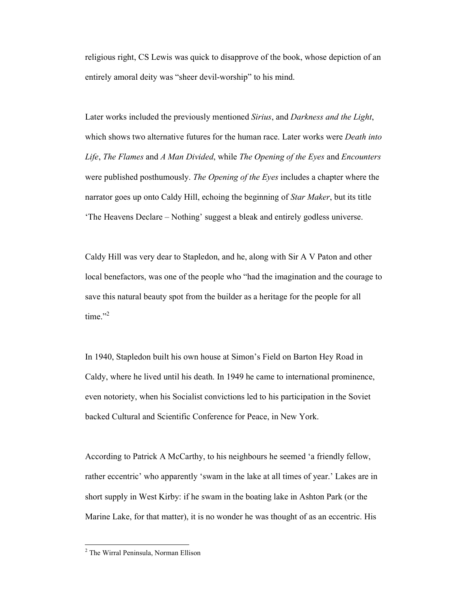religious right, CS Lewis was quick to disapprove of the book, whose depiction of an entirely amoral deity was "sheer devil-worship" to his mind.

Later works included the previously mentioned *Sirius*, and *Darkness and the Light*, which shows two alternative futures for the human race. Later works were *Death into Life*, *The Flames* and *A Man Divided*, while *The Opening of the Eyes* and *Encounters* were published posthumously. *The Opening of the Eyes* includes a chapter where the narrator goes up onto Caldy Hill, echoing the beginning of *Star Maker*, but its title 'The Heavens Declare – Nothing' suggest a bleak and entirely godless universe.

Caldy Hill was very dear to Stapledon, and he, along with Sir A V Paton and other local benefactors, was one of the people who "had the imagination and the courage to save this natural beauty spot from the builder as a heritage for the people for all time." $2$ 

In 1940, Stapledon built his own house at Simon's Field on Barton Hey Road in Caldy, where he lived until his death. In 1949 he came to international prominence, even notoriety, when his Socialist convictions led to his participation in the Soviet backed Cultural and Scientific Conference for Peace, in New York.

According to Patrick A McCarthy, to his neighbours he seemed 'a friendly fellow, rather eccentric' who apparently 'swam in the lake at all times of year.' Lakes are in short supply in West Kirby: if he swam in the boating lake in Ashton Park (or the Marine Lake, for that matter), it is no wonder he was thought of as an eccentric. His

 2 The Wirral Peninsula, Norman Ellison